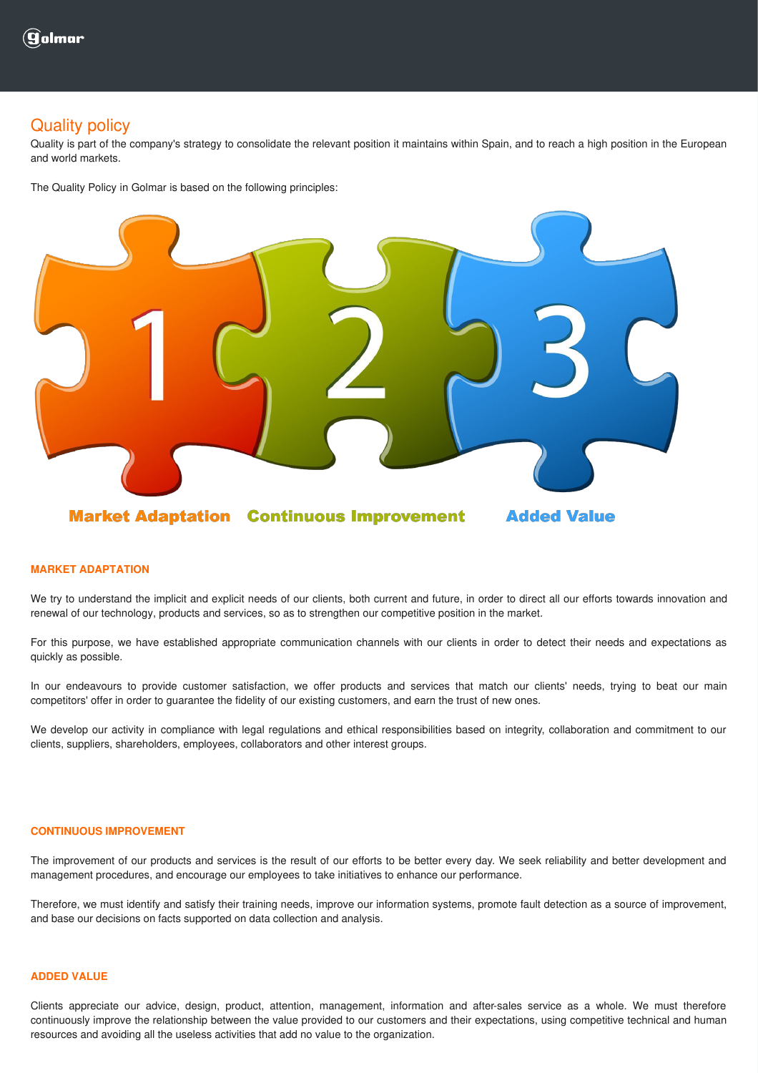## Quality policy

Quality is part of the company's strategy to consolidate the relevant position it maintains within Spain, and to reach a high position in the European and world markets.

The Quality Policy in Golmar is based on the following principles:



## **MARKET ADAPTATION**

We try to understand the implicit and explicit needs of our clients, both current and future, in order to direct all our efforts towards innovation and renewal of our technology, products and services, so as to strengthen our competitive position in the market.

For this purpose, we have established appropriate communication channels with our clients in order to detect their needs and expectations as quickly as possible.

In our endeavours to provide customer satisfaction, we offer products and services that match our clients' needs, trying to beat our main competitors' offer in order to guarantee the fidelity of our existing customers, and earn the trust of new ones.

We develop our activity in compliance with legal regulations and ethical responsibilities based on integrity, collaboration and commitment to our clients, suppliers, shareholders, employees, collaborators and other interest groups.

## **CONTINUOUS IMPROVEMENT**

The improvement of our products and services is the result of our efforts to be better every day. We seek reliability and better development and management procedures, and encourage our employees to take initiatives to enhance our performance.

Therefore, we must identify and satisfy their training needs, improve our information systems, promote fault detection as a source of improvement, and base our decisions on facts supported on data collection and analysis.

## **ADDED VALUE**

Clients appreciate our advice, design, product, attention, management, information and after-sales service as a whole. We must therefore continuously improve the relationship between the value provided to our customers and their expectations, using competitive technical and human resources and avoiding all the useless activities that add no value to the organization.